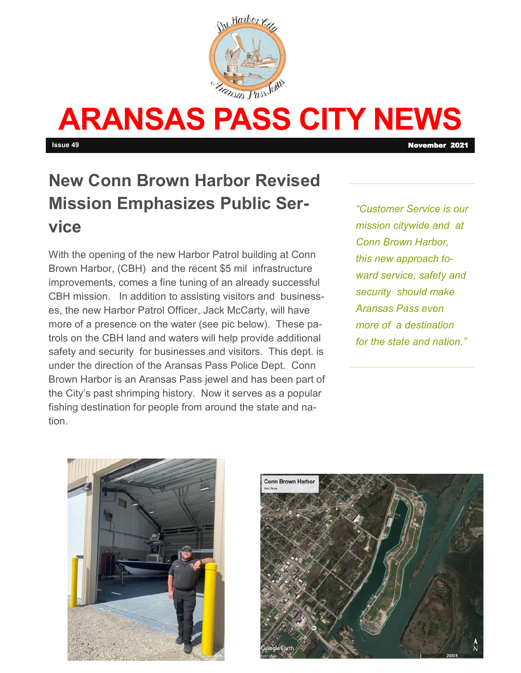

# **ARANSAS PASS CITY NEWS**

**Issue 49** November 2021

# **New Conn Brown Harbor Revised Mission Emphasizes Public Service**

With the opening of the new Harbor Patrol building at Conn Brown Harbor, (CBH) and the recent \$5 mil infrastructure improvements, comes a fine tuning of an already successful CBH mission. In addition to assisting visitors and businesses, the new Harbor Patrol Officer, Jack McCarty, will have more of a presence on the water (see pic below). These patrols on the CBH land and waters will help provide additional safety and security for businesses and visitors. This dept. is under the direction of the Aransas Pass Police Dept. Conn Brown Harbor is an Aransas Pass jewel and has been part of the City's past shrimping history. Now it serves as a popular fishing destination for people from around the state and nation.

*"Customer Service is our mission citywide and at Conn Brown Harbor, this new approach toward service, safety and security should make Aransas Pass even more of a destination for the state and nation."*



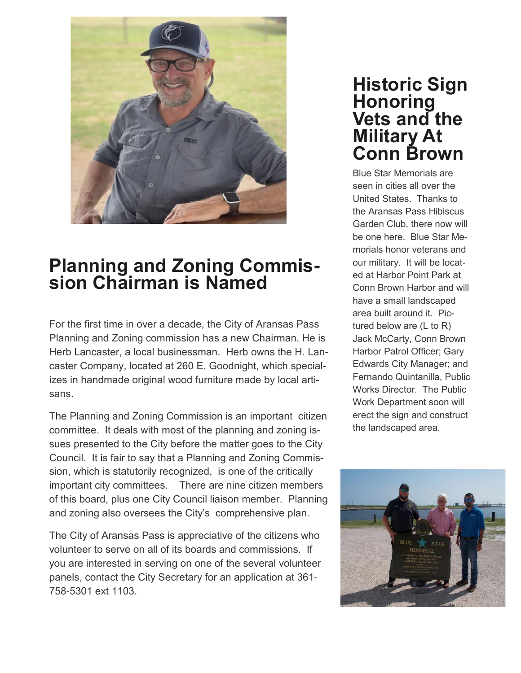

# **Planning and Zoning Commission Chairman is Named**

For the first time in over a decade, the City of Aransas Pass Planning and Zoning commission has a new Chairman. He is Herb Lancaster, a local businessman. Herb owns the H. Lancaster Company, located at 260 E. Goodnight, which specializes in handmade original wood furniture made by local artisans.

The Planning and Zoning Commission is an important citizen committee. It deals with most of the planning and zoning issues presented to the City before the matter goes to the City Council. It is fair to say that a Planning and Zoning Commission, which is statutorily recognized, is one of the critically important city committees. There are nine citizen members of this board, plus one City Council liaison member. Planning and zoning also oversees the City's comprehensive plan.

The City of Aransas Pass is appreciative of the citizens who volunteer to serve on all of its boards and commissions. If you are interested in serving on one of the several volunteer panels, contact the City Secretary for an application at 361- 758-5301 ext 1103.

### **Historic Sign Honoring Vets and the Military At Conn Brown**

Blue Star Memorials are seen in cities all over the United States. Thanks to the Aransas Pass Hibiscus Garden Club, there now will be one here. Blue Star Memorials honor veterans and our military. It will be located at Harbor Point Park at Conn Brown Harbor and will have a small landscaped area built around it. Pictured below are (L to R) Jack McCarty, Conn Brown Harbor Patrol Officer; Gary Edwards City Manager; and Fernando Quintanilla, Public Works Director. The Public Work Department soon will erect the sign and construct the landscaped area.

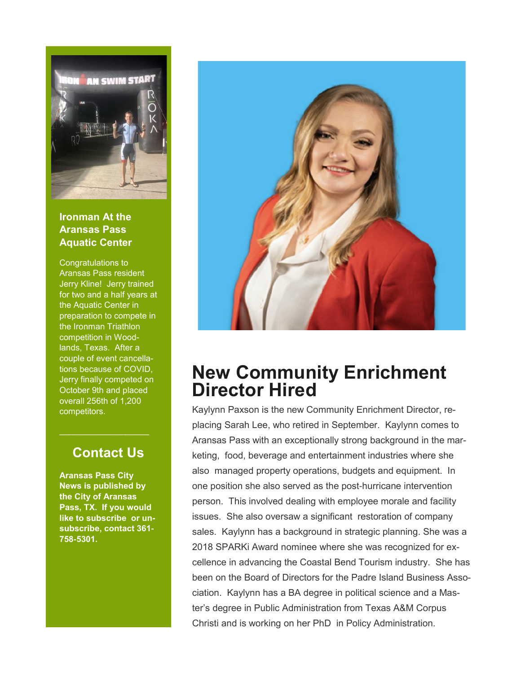

#### **Ironman At the Aransas Pass Aquatic Center**

Congratulations to Aransas Pass resident Jerry Kline! Jerry trained for two and a half years at the Aquatic Center in preparation to compete in the Ironman Triathlon competition in Woodlands, Texas. After a couple of event cancellations because of COVID, Jerry finally competed on October 9th and placed overall 256th of 1,200 competitors.

### **Contact Us**

**Aransas Pass City News is published by the City of Aransas Pass, TX. If you would like to subscribe or unsubscribe, contact 361- 758-5301.** 



# **New Community Enrichment Director Hired**

Kaylynn Paxson is the new Community Enrichment Director, replacing Sarah Lee, who retired in September. Kaylynn comes to Aransas Pass with an exceptionally strong background in the marketing, food, beverage and entertainment industries where she also managed property operations, budgets and equipment. In one position she also served as the post-hurricane intervention person. This involved dealing with employee morale and facility issues. She also oversaw a significant restoration of company sales. Kaylynn has a background in strategic planning. She was a 2018 SPARKi Award nominee where she was recognized for excellence in advancing the Coastal Bend Tourism industry. She has been on the Board of Directors for the Padre Island Business Association. Kaylynn has a BA degree in political science and a Master's degree in Public Administration from Texas A&M Corpus Christi and is working on her PhD in Policy Administration.